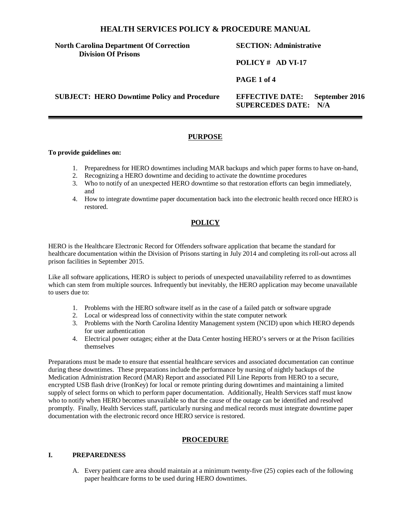# **North Carolina Department Of Correction Division Of Prisons**

# **SECTION: Administrative**

**POLICY # AD VI-17**

**PAGE 1 of 4**

**SUBJECT: HERO Downtime Policy and Procedure EFFECTIVE DATE: September 2016** 

**SUPERCEDES DATE: N/A** 

# **PURPOSE**

#### **To provide guidelines on:**

- 1. Preparedness for HERO downtimes including MAR backups and which paper forms to have on-hand,
- 2. Recognizing a HERO downtime and deciding to activate the downtime procedures
- 3. Who to notify of an unexpected HERO downtime so that restoration efforts can begin immediately, and
- 4. How to integrate downtime paper documentation back into the electronic health record once HERO is restored.

# **POLICY**

HERO is the Healthcare Electronic Record for Offenders software application that became the standard for healthcare documentation within the Division of Prisons starting in July 2014 and completing its roll-out across all prison facilities in September 2015.

Like all software applications, HERO is subject to periods of unexpected unavailability referred to as downtimes which can stem from multiple sources. Infrequently but inevitably, the HERO application may become unavailable to users due to:

- 1. Problems with the HERO software itself as in the case of a failed patch or software upgrade
- 2. Local or widespread loss of connectivity within the state computer network
- 3. Problems with the North Carolina Identity Management system (NCID) upon which HERO depends for user authentication
- 4. Electrical power outages; either at the Data Center hosting HERO's servers or at the Prison facilities themselves

Preparations must be made to ensure that essential healthcare services and associated documentation can continue during these downtimes. These preparations include the performance by nursing of nightly backups of the Medication Administration Record (MAR) Report and associated Pill Line Reports from HERO to a secure, encrypted USB flash drive (IronKey) for local or remote printing during downtimes and maintaining a limited supply of select forms on which to perform paper documentation. Additionally, Health Services staff must know who to notify when HERO becomes unavailable so that the cause of the outage can be identified and resolved promptly. Finally, Health Services staff, particularly nursing and medical records must integrate downtime paper documentation with the electronic record once HERO service is restored.

# **PROCEDURE**

#### **I. PREPAREDNESS**

A. Every patient care area should maintain at a minimum twenty-five (25) copies each of the following paper healthcare forms to be used during HERO downtimes.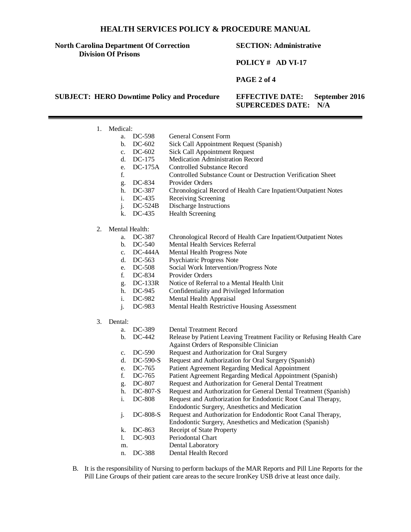#### **North Carolina Department Of Correction Division Of Prisons**

### **SECTION: Administrative**

#### **POLICY # AD VI-17**

**PAGE 2 of 4**

**SUBJECT: HERO Downtime Policy and Procedure EFFECTIVE DATE: September 2016** 

**SUPERCEDES DATE: N/A** 

- 1. Medical:
	- a. DC-598 General Consent Form<br>b. DC-602 Sick Call Appointment
	- Sick Call Appointment Request (Spanish)
	- c. DC-602 Sick Call Appointment Request<br>d. DC-175 Medication Administration Reco
	- DC-175 Medication Administration Record<br>DC-175A Controlled Substance Record
	- e. DC-175A Controlled Substance Record
	- f. Controlled Substance Count or Destruction Verification Sheet
	- g. DC-834 Provider Orders<br>h. DC-387 Chronological R
	- Chronological Record of Health Care Inpatient/Outpatient Notes
	- i. DC-435 Receiving Screening
	- j. DC-524B Discharge Instructions
	- k. DC-435 Health Screening
- 2. Mental Health:
	- a. DC-387 Chronological Record of Health Care Inpatient/Outpatient Notes
	- b. DC-540 Mental Health Services Referral<br>c. DC-444A Mental Health Progress Note
	- c. DC-444A Mental Health Progress Note<br>d. DC-563 Psychiatric Progress Note
	- Psychiatric Progress Note
	- e. DC-508 Social Work Intervention/Progress Note
	-
	- f. DC-834 Provider Orders<br>g. DC-133R Notice of Referr Notice of Referral to a Mental Health Unit
	- h. DC-945 Confidentiality and Privileged Information
	- i. DC-982 Mental Health Appraisal
	- j. DC-983 Mental Health Restrictive Housing Assessment
- 3. Dental:
	- a. DC-389 Dental Treatment Record
	- b. DC-442 Release by Patient Leaving Treatment Facility or Refusing Health Care Against Orders of Responsible Clinician
	- c. DC-590 Request and Authorization for Oral Surgery
	- d. DC-590-S Request and Authorization for Oral Surgery (Spanish)
	- e. DC-765 Patient Agreement Regarding Medical Appointment
	- f. DC-765 Patient Agreement Regarding Medical Appointment (Spanish)<br>g. DC-807 Request and Authorization for General Dental Treatment
	- Request and Authorization for General Dental Treatment
	- h. DC-807-S Request and Authorization for General Dental Treatment (Spanish)
	- i. DC-808 Request and Authorization for Endodontic Root Canal Therapy,
	- Endodontic Surgery, Anesthetics and Medication j. DC-808-S Request and Authorization for Endodontic Root Canal Therapy,
		- Endodontic Surgery, Anesthetics and Medication (Spanish)
	- k. DC-863 Receipt of State Property
	- l. DC-903 Periodontal Chart
	- m. Dental Laboratory
	- n. DC-388 Dental Health Record
- B. It is the responsibility of Nursing to perform backups of the MAR Reports and Pill Line Reports for the Pill Line Groups of their patient care areas to the secure IronKey USB drive at least once daily.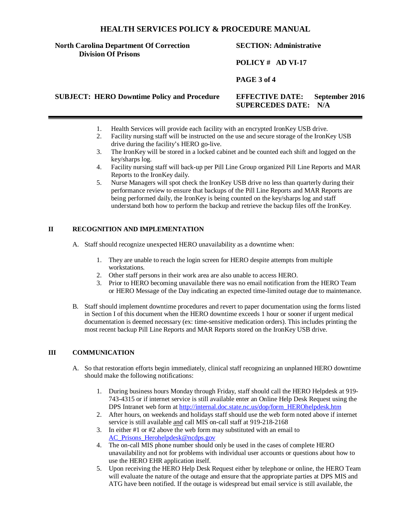### **North Carolina Department Of Correction Division Of Prisons**

# **SECTION: Administrative**

# **POLICY # AD VI-17**

# **PAGE 3 of 4**

**SUBJECT: HERO Downtime Policy and Procedure EFFECTIVE DATE: September 2016** 

- **SUPERCEDES DATE: N/A**
- 1. Health Services will provide each facility with an encrypted IronKey USB drive.
- 2. Facility nursing staff will be instructed on the use and secure storage of the IronKey USB drive during the facility's HERO go-live.
- 3. The IronKey will be stored in a locked cabinet and be counted each shift and logged on the key/sharps log.
- 4. Facility nursing staff will back-up per Pill Line Group organized Pill Line Reports and MAR Reports to the IronKey daily.
- 5. Nurse Managers will spot check the IronKey USB drive no less than quarterly during their performance review to ensure that backups of the Pill Line Reports and MAR Reports are being performed daily, the IronKey is being counted on the key/sharps log and staff understand both how to perform the backup and retrieve the backup files off the IronKey.

### **II RECOGNITION AND IMPLEMENTATION**

- A. Staff should recognize unexpected HERO unavailability as a downtime when:
	- 1. They are unable to reach the login screen for HERO despite attempts from multiple workstations.
	- 2. Other staff persons in their work area are also unable to access HERO.
	- 3. Prior to HERO becoming unavailable there was no email notification from the HERO Team or HERO Message of the Day indicating an expected time-limited outage due to maintenance.
- B. Staff should implement downtime procedures and revert to paper documentation using the forms listed in Section I of this document when the HERO downtime exceeds 1 hour or sooner if urgent medical documentation is deemed necessary (ex: time-sensitive medication orders). This includes printing the most recent backup Pill Line Reports and MAR Reports stored on the IronKey USB drive.

#### **III COMMUNICATION**

- A. So that restoration efforts begin immediately, clinical staff recognizing an unplanned HERO downtime should make the following notifications:
	- 1. During business hours Monday through Friday, staff should call the HERO Helpdesk at 919- 743-4315 or if internet service is still available enter an Online Help Desk Request using the DPS Intranet web form at [http://internal.doc.state.nc.us/dop/form\\_HEROhelpdesk.htm](http://internal.doc.state.nc.us/dop/form_HEROhelpdesk.htm)
	- 2. After hours, on weekends and holidays staff should use the web form noted above if internet service is still available and call MIS on-call staff at 919-218-2168
	- 3. In either #1 or #2 above the web form may substituted with an email to AC Prisons Herohelpdesk@ncdps.gov
	- 4. The on-call MIS phone number should only be used in the cases of complete HERO unavailability and not for problems with individual user accounts or questions about how to use the HERO EHR application itself.
	- 5. Upon receiving the HERO Help Desk Request either by telephone or online, the HERO Team will evaluate the nature of the outage and ensure that the appropriate parties at DPS MIS and ATG have been notified. If the outage is widespread but email service is still available, the